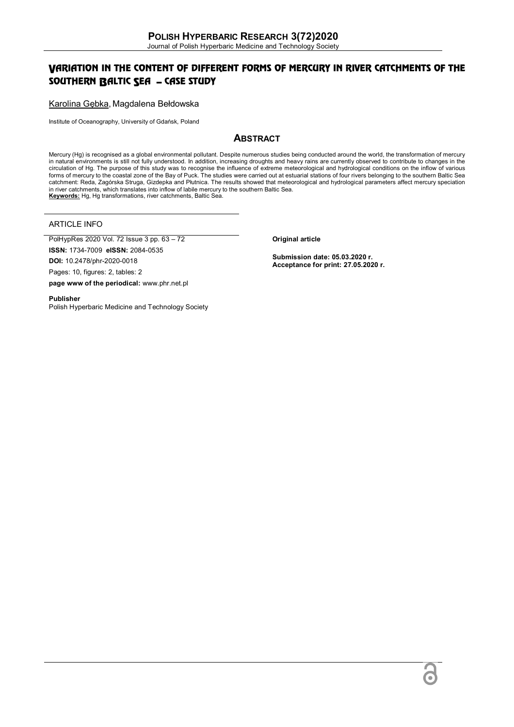# VARIATION IN THE CONTENT OF DIFFERENT FORMS OF MERCURY IN RIVER CATCHMENTS OF THE SOUTHERN BALTIC SEA – CASE STUDY

Karolina Gębka, Magdalena Bełdowska

Institute of Oceanography, University of Gdańsk, Poland

# **ABSTRACT**

Mercury (Hg) is recognised as a global environmental pollutant. Despite numerous studies being conducted around the world, the transformation of mercury in natural environments is still not fully understood. In addition, increasing droughts and heavy rains are currently observed to contribute to changes in the circulation of Hg. The purpose of this study was to recognise the influence of extreme meteorological and hydrological conditions on the inflow of various forms of mercury to the coastal zone of the Bay of Puck. The studies were carried out at estuarial stations of four rivers belonging to the southern Baltic Sea catchment: Reda, Zagórska Struga, Gizdepka and Płutnica. The results showed that meteorological and hydrological parameters affect mercury speciation in river catchments, which translates into inflow of labile mercury to the southern Baltic Sea. **Keywords:** Hg, Hg transformations, river catchments, Baltic Sea.

ARTICLE INFO

PolHypRes 2020 Vol. 72 Issue 3 pp. 63 – 72

**ISSN:** 1734-7009 **eISSN:** 2084-0535

**DOI:** 10.2478/phr-2020-0018

Pages: 10, figures: 2, tables: 2

**page www of the periodical:** www.phr.net.pl

**Publisher**  Polish Hyperbaric Medicine and Technology Society **Original article**

**Submission date: 05.03.2020 r. Acceptance for print: 27.05.2020 r.**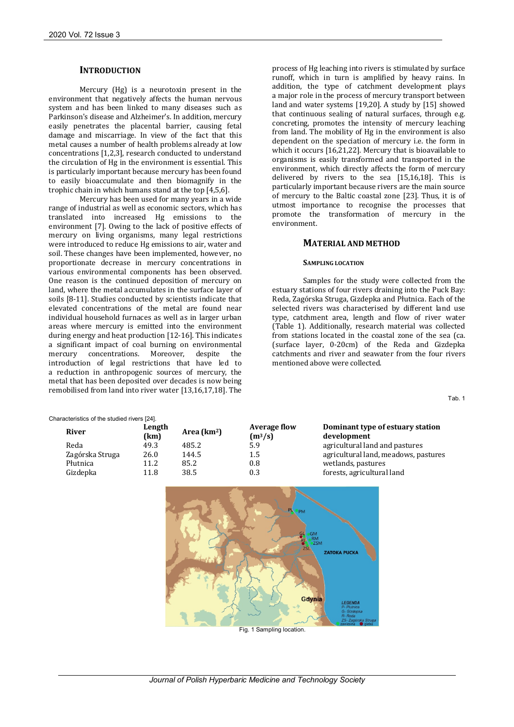## **INTRODUCTION**

Mercury (Hg) is a neurotoxin present in the environment that negatively affects the human nervous system and has been linked to many diseases such as Parkinson's disease and Alzheimer's. In addition, mercury easily penetrates the placental barrier, causing fetal damage and miscarriage. In view of the fact that this metal causes a number of health problems already at low concentrations [1,2,3], research conducted to understand the circulation of Hg in the environment is essential. This is particularly important because mercury has been found to easily bioaccumulate and then biomagnify in the trophic chain in which humans stand at the top [4,5,6].

Mercury has been used for many years in a wide range of industrial as well as economic sectors, which has translated into increased Hg emissions to the environment [7]. Owing to the lack of positive effects of mercury on living organisms, many legal restrictions were introduced to reduce Hg emissions to air, water and soil. These changes have been implemented, however, no proportionate decrease in mercury concentrations in various environmental components has been observed. One reason is the continued deposition of mercury on land, where the metal accumulates in the surface layer of soils [8-11]. Studies conducted by scientists indicate that elevated concentrations of the metal are found near individual household furnaces as well as in larger urban areas where mercury is emitted into the environment during energy and heat production [12-16]. This indicates a significant impact of coal burning on environmental mercury concentrations. Moreover, despite the introduction of legal restrictions that have led to a reduction in anthropogenic sources of mercury, the metal that has been deposited over decades is now being remobilised from land into river water [13,16,17,18]. The

Characteristics of the studied rivers [24].

process of Hg leaching into rivers is stimulated by surface runoff, which in turn is amplified by heavy rains. In addition, the type of catchment development plays a major role in the process of mercury transport between land and water systems [19,20]. A study by [15] showed that continuous sealing of natural surfaces, through e.g. concreting, promotes the intensity of mercury leaching from land. The mobility of Hg in the environment is also dependent on the speciation of mercury i.e. the form in which it occurs [16,21,22]. Mercury that is bioavailable to organisms is easily transformed and transported in the environment, which directly affects the form of mercury delivered by rivers to the sea [15,16,18]. This is particularly important because rivers are the main source of mercury to the Baltic coastal zone [23]. Thus, it is of utmost importance to recognise the processes that promote the transformation of mercury in the environment.

## **MATERIAL AND METHOD**

### **SAMPLING LOCATION**

Samples for the study were collected from the estuary stations of four rivers draining into the Puck Bay: Reda, Zagórska Struga, Gizdepka and Płutnica. Each of the selected rivers was characterised by different land use type, catchment area, length and flow of river water (Table 1). Additionally, research material was collected from stations located in the coastal zone of the sea (ca. (surface layer, 0-20cm) of the Reda and Gizdepka catchments and river and seawater from the four rivers mentioned above were collected.

Tab. 1

|                 | aracteristics of the studied fivers $\mathsf{Z}$ +1. |                         |                                  |                                                 |
|-----------------|------------------------------------------------------|-------------------------|----------------------------------|-------------------------------------------------|
| <b>River</b>    | Length<br>(km)                                       | Area (km <sup>2</sup> ) | <b>Average flow</b><br>$(m^3/s)$ | Dominant type of estuary station<br>development |
| Reda            | 49.3                                                 | 485.2                   | 5.9                              | agricultural land and pastures                  |
| Zagórska Struga | 26.0                                                 | 144.5                   | 1.5                              | agricultural land, meadows, pastures            |
| Płutnica        | 11.2                                                 | 85.2                    | 0.8                              | wetlands, pastures                              |
| Gizdepka        | 11.8                                                 | 38.5                    | 0.3                              | forests, agricultural land                      |
|                 |                                                      |                         |                                  |                                                 |

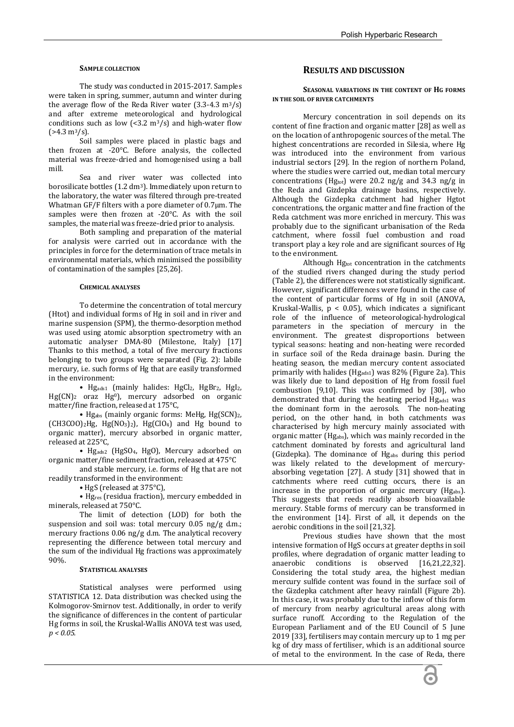### **SAMPLE COLLECTION**

The study was conducted in 2015-2017. Samples were taken in spring, summer, autumn and winter during the average flow of the Reda River water  $(3.3-4.3 \text{ m}^3/\text{s})$ and after extreme meteorological and hydrological conditions such as low  $\left($  <3.2 m<sup>3</sup>/s) and high-water flow  $(>4.3 \text{ m}^3/\text{s})$ .

Soil samples were placed in plastic bags and then frozen at -20°C. Before analysis, the collected material was freeze-dried and homogenised using a ball mill.

Sea and river water was collected into borosilicate bottles (1.2 dm3). Immediately upon return to the laboratory, the water was filtered through pre-treated Whatman GF/F filters with a pore diameter of 0.7µm. The samples were then frozen at -20°C. As with the soil samples, the material was freeze-dried prior to analysis.

Both sampling and preparation of the material for analysis were carried out in accordance with the principles in force for the determination of trace metals in environmental materials, which minimised the possibility of contamination of the samples [25,26].

### **CHEMICAL ANALYSES**

To determine the concentration of total mercury (Htot) and individual forms of Hg in soil and in river and marine suspension (SPM), the thermo-desorption method was used using atomic absorption spectrometry with an automatic analyser DMA-80 (Milestone, Italy) [17] Thanks to this method, a total of five mercury fractions belonging to two groups were separated (Fig. 2): labile mercury, i.e. such forms of Hg that are easily transformed in the environment:

• Hgads1 (mainly halides: HgCl2, HgBr2, HgI2,  $Hg(CN)_2$  oraz  $Hg^0$ ), mercury adsorbed on organic matter/fine fraction, released at 175°C,

• Hg<sub>abs</sub> (mainly organic forms: MeHg, Hg(SCN)<sub>2</sub>,  $(CH3COO)_2$ Hg, Hg $(NO_3)_2$ , Hg $(CIO_4)$  and Hg bound to organic matter), mercury absorbed in organic matter, released at 225°C,

• Hgads2 (HgSO4, HgO), Mercury adsorbed on organic matter/fine sediment fraction, released at 475°C

and stable mercury, i.e. forms of Hg that are not readily transformed in the environment:

• HgS (released at 375°C),

• Hgres (residua fraction), mercury embedded in minerals, released at 750°C.

The limit of detection (LOD) for both the suspension and soil was: total mercury 0.05 ng/g d.m.; mercury fractions 0.06 ng/g d.m. The analytical recovery representing the difference between total mercury and the sum of the individual Hg fractions was approximately 90%.

#### **STATISTICAL ANALYSES**

Statistical analyses were performed using STATISTICA 12. Data distribution was checked using the Kolmogorov-Smirnov test. Additionally, in order to verify the significance of differences in the content of particular Hg forms in soil, the Kruskal-Wallis ANOVA test was used*, p < 0.05.*

## **RESULTS AND DISCUSSION**

## **SEASONAL VARIATIONS IN THE CONTENT OF HG FORMS IN THE SOIL OF RIVER CATCHMENTS**

Mercury concentration in soil depends on its content of fine fraction and organic matter [28] as well as on the location of anthropogenic sources of the metal. The highest concentrations are recorded in Silesia, where Hg was introduced into the environment from various industrial sectors [29]. In the region of northern Poland, where the studies were carried out, median total mercury concentrations (Hgtot) were 20.2 ng/g and 34.3 ng/g in the Reda and Gizdepka drainage basins, respectively. Although the Gizdepka catchment had higher Hgtot concentrations, the organic matter and fine fraction of the Reda catchment was more enriched in mercury. This was probably due to the significant urbanisation of the Reda catchment, where fossil fuel combustion and road transport play a key role and are significant sources of Hg to the environment.

Although Hgtot concentration in the catchments of the studied rivers changed during the study period (Table 2), the differences were not statistically significant. However, significant differences were found in the case of the content of particular forms of Hg in soil (ANOVA, Kruskal-Wallis,  $p < 0.05$ , which indicates a significant role of the influence of meteorological-hydrological parameters in the speciation of mercury in the environment. The greatest disproportions between typical seasons: heating and non-heating were recorded in surface soil of the Reda drainage basin. During the heating season, the median mercury content associated primarily with halides (Hgads1) was 82% (Figure 2a). This was likely due to land deposition of Hg from fossil fuel combustion [9,10]. This was confirmed by [30], who demonstrated that during the heating period Hgads1 was the dominant form in the aerosols. The non-heating period, on the other hand, in both catchments was characterised by high mercury mainly associated with organic matter (Hgabs), which was mainly recorded in the catchment dominated by forests and agricultural land (Gizdepka). The dominance of Hgabs during this period was likely related to the development of mercuryabsorbing vegetation [27]. A study [31] showed that in catchments where reed cutting occurs, there is an increase in the proportion of organic mercury (Hgabs). This suggests that reeds readily absorb bioavailable mercury. Stable forms of mercury can be transformed in the environment [14]. First of all, it depends on the aerobic conditions in the soil [21,32].

Previous studies have shown that the most intensive formation of HgS occurs at greater depths in soil profiles, where degradation of organic matter leading to anaerobic conditions is observed [16,21,22,32]. Considering the total study area, the highest median mercury sulfide content was found in the surface soil of the Gizdepka catchment after heavy rainfall (Figure 2b). In this case, it was probably due to the inflow of this form of mercury from nearby agricultural areas along with surface runoff. According to the Regulation of the European Parliament and of the EU Council of 5 June 2019 [33], fertilisers may contain mercury up to 1 mg per kg of dry mass of fertiliser, which is an additional source of metal to the environment. In the case of Reda, there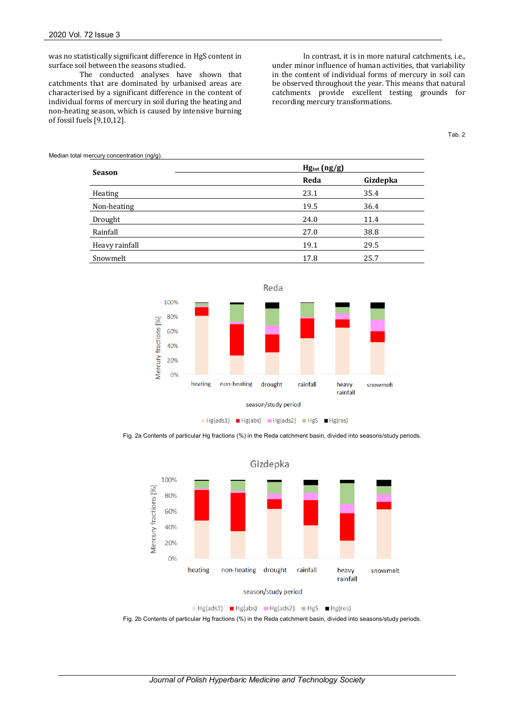was no statistically significant difference in HgS content in surface soil between the seasons studied.

The conducted analyses have shown that catchments that are dominated by urbanised areas are characterised by a significant difference in the content of individual forms of mercury in soil during the heating and non-heating season, which is caused by intensive burning of fossil fuels [9,10,12].

In contrast, it is in more natural catchments, i.e., under minor influence of human activities, that variability in the content of individual forms of mercury in soil can be observed throughout the year. This means that natural catchments provide excellent testing grounds for recording mercury transformations.

Tab. 2

Median total mercury concentration (ng/g).

| <b>Season</b>  | $Hg_{tot}$ (ng/g) |          |
|----------------|-------------------|----------|
|                | Reda              | Gizdepka |
| Heating        | 23.1              | 35.4     |
| Non-heating    | 19.5              | 36.4     |
| Drought        | 24.0              | 11.4     |
| Rainfall       | 27.0              | 38.8     |
| Heavy rainfall | 19.1              | 29.5     |
| Snowmelt       | 17.8              | 25.7     |



Fig. 2a Contents of particular Hg fractions (%) in the Reda catchment basin, divided into seasons/study periods.



Fig. 2b Contents of particular Hg fractions (%) in the Reda catchment basin, divided into seasons/study periods.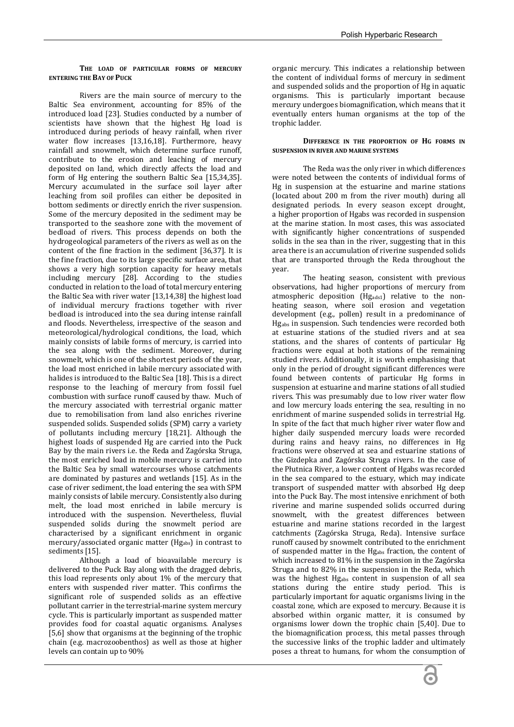## **THE LOAD OF PARTICULAR FORMS OF MERCURY ENTERING THE BAY OF PUCK**

Rivers are the main source of mercury to the Baltic Sea environment, accounting for 85% of the introduced load [23]. Studies conducted by a number of scientists have shown that the highest Hg load is introduced during periods of heavy rainfall, when river water flow increases [13,16,18]. Furthermore, heavy rainfall and snowmelt, which determine surface runoff, contribute to the erosion and leaching of mercury deposited on land, which directly affects the load and form of Hg entering the southern Baltic Sea [15,34,35]. Mercury accumulated in the surface soil layer after leaching from soil profiles can either be deposited in bottom sediments or directly enrich the river suspension. Some of the mercury deposited in the sediment may be transported to the seashore zone with the movement of bedload of rivers. This process depends on both the hydrogeological parameters of the rivers as well as on the content of the fine fraction in the sediment [36,37]. It is the fine fraction, due to its large specific surface area, that shows a very high sorption capacity for heavy metals including mercury [28]. According to the studies conducted in relation to the load of total mercury entering the Baltic Sea with river water [13,14,38] the highest load of individual mercury fractions together with river bedload is introduced into the sea during intense rainfall and floods. Nevertheless, irrespective of the season and meteorological/hydrological conditions, the load, which mainly consists of labile forms of mercury, is carried into the sea along with the sediment. Moreover, during snowmelt, which is one of the shortest periods of the year, the load most enriched in labile mercury associated with halides is introduced to the Baltic Sea [18]. This is a direct response to the leaching of mercury from fossil fuel combustion with surface runoff caused by thaw. Much of the mercury associated with terrestrial organic matter due to remobilisation from land also enriches riverine suspended solids. Suspended solids (SPM) carry a variety of pollutants including mercury [18,21]. Although the highest loads of suspended Hg are carried into the Puck Bay by the main rivers i.e. the Reda and Zagórska Struga, the most enriched load in mobile mercury is carried into the Baltic Sea by small watercourses whose catchments are dominated by pastures and wetlands [15]. As in the case of river sediment, the load entering the sea with SPM mainly consists of labile mercury. Consistently also during melt, the load most enriched in labile mercury is introduced with the suspension. Nevertheless, fluvial suspended solids during the snowmelt period are characterised by a significant enrichment in organic mercury/associated organic matter (Hgabs) in contrast to sediments [15].

Although a load of bioavailable mercury is delivered to the Puck Bay along with the dragged debris, this load represents only about 1% of the mercury that enters with suspended river matter. This confirms the significant role of suspended solids as an effective pollutant carrier in the terrestrial-marine system mercury cycle. This is particularly important as suspended matter provides food for coastal aquatic organisms. Analyses [5,6] show that organisms at the beginning of the trophic chain (e.g. macrozoobenthos) as well as those at higher levels can contain up to 90%

organic mercury. This indicates a relationship between the content of individual forms of mercury in sediment and suspended solids and the proportion of Hg in aquatic organisms. This is particularly important because mercury undergoes biomagnification, which means that it eventually enters human organisms at the top of the trophic ladder.

## **DIFFERENCE IN THE PROPORTION OF HG FORMS IN SUSPENSION IN RIVER AND MARINE SYSTEMS**

The Reda was the only river in which differences were noted between the contents of individual forms of Hg in suspension at the estuarine and marine stations (located about 200 m from the river mouth) during all designated periods. In every season except drought, a higher proportion of Hgabs was recorded in suspension at the marine station. In most cases, this was associated with significantly higher concentrations of suspended solids in the sea than in the river, suggesting that in this area there is an accumulation of riverine suspended solids that are transported through the Reda throughout the year.

The heating season, consistent with previous observations, had higher proportions of mercury from atmospheric deposition (Hgads1) relative to the nonheating season, where soil erosion and vegetation development (e.g., pollen) result in a predominance of Hgabs in suspension. Such tendencies were recorded both at estuarine stations of the studied rivers and at sea stations, and the shares of contents of particular Hg fractions were equal at both stations of the remaining studied rivers. Additionally, it is worth emphasising that only in the period of drought significant differences were found between contents of particular Hg forms in suspension at estuarine and marine stations of all studied rivers. This was presumably due to low river water flow and low mercury loads entering the sea, resulting in no enrichment of marine suspended solids in terrestrial Hg. In spite of the fact that much higher river water flow and higher daily suspended mercury loads were recorded during rains and heavy rains, no differences in Hg fractions were observed at sea and estuarine stations of the Gizdepka and Zagórska Struga rivers. In the case of the Płutnica River, a lower content of Hgabs was recorded in the sea compared to the estuary, which may indicate transport of suspended matter with absorbed Hg deep into the Puck Bay. The most intensive enrichment of both riverine and marine suspended solids occurred during snowmelt, with the greatest differences between estuarine and marine stations recorded in the largest catchments (Zagórska Struga, Reda). Intensive surface runoff caused by snowmelt contributed to the enrichment of suspended matter in the Hgabs fraction, the content of which increased to 81% in the suspension in the Zagórska Struga and to 82% in the suspension in the Reda, which was the highest Hgabs content in suspension of all sea stations during the entire study period. This is particularly important for aquatic organisms living in the coastal zone, which are exposed to mercury. Because it is absorbed within organic matter, it is consumed by organisms lower down the trophic chain [5,40]. Due to the biomagnification process, this metal passes through the successive links of the trophic ladder and ultimately poses a threat to humans, for whom the consumption of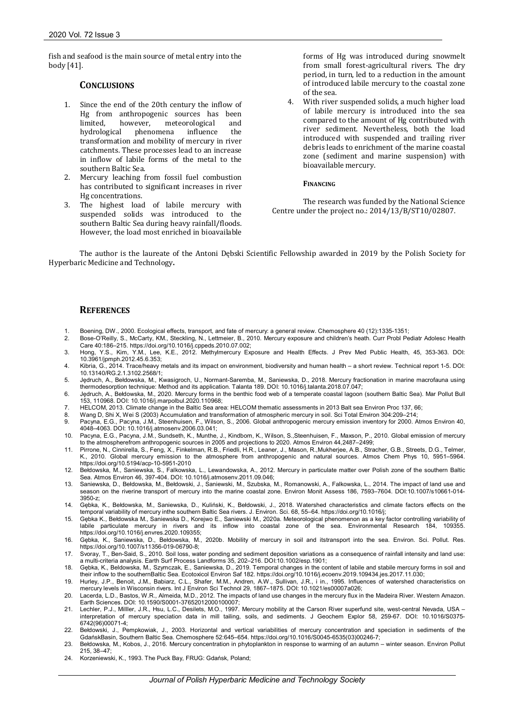fish and seafood is the main source of metal entry into the body [41].

# **CONCLUSIONS**

- 1. Since the end of the 20th century the inflow of Hg from anthropogenic sources has been limited, however, meteorological and hydrological phenomena influence the transformation and mobility of mercury in river catchments. These processes lead to an increase in inflow of labile forms of the metal to the southern Baltic Sea.
- 2. Mercury leaching from fossil fuel combustion has contributed to significant increases in river Hg concentrations.
- 3. The highest load of labile mercury with suspended solids was introduced to the southern Baltic Sea during heavy rainfall/floods. However, the load most enriched in bioavailable

forms of Hg was introduced during snowmelt from small forest-agricultural rivers. The dry period, in turn, led to a reduction in the amount of introduced labile mercury to the coastal zone of the sea.

With river suspended solids, a much higher load of labile mercury is introduced into the sea compared to the amount of Hg contributed with river sediment. Nevertheless, both the load introduced with suspended and trailing river debris leads to enrichment of the marine coastal zone (sediment and marine suspension) with bioavailable mercury.

## **FINANCING**

The research was funded by the National Science Centre under the project no.: 2014/13/B/ST10/02807.

The author is the laureate of the Antoni Dębski Scientific Fellowship awarded in 2019 by the Polish Society for Hyperbaric Medicine and Technology**.** 

## **REFERENCES**

- 1. Boening, DW., 2000. Ecological effects, transport, and fate of mercury: a general review. Chemosphere 40 (12):1335-1351;
- 2. Bose-O'Reilly, S., McCarty, KM., Steckling, N., Lettmeier, B., 2010. Mercury exposure and children's heath. Curr Probl Pediatr Adolesc Health
- Care 40:186–215. https://doi.org/10.1016/j.cppeds.2010.07.002; 3. Hong, Y.S., Kim, Y.M., Lee, K.E., 2012. Methylmercury Exposure and Health Effects. J Prev Med Public Health, 45, 353-363. DOI: 10.3961/jpmph.2012.45.6.353;
- 4. Kibria, G., 2014. Trace/heavy metals and its impact on environment, biodiversity and human health a short review. Technical report 1-5. DOI: 10.13140/RG.2.1.3102.2568/1;
- 5. Jędruch, A., Bełdowska, M., Kwasigroch, U., Normant-Saremba, M., Saniewska, D., 2018. Mercury fractionation in marine macrofauna using thermodesorption technique: Method and its application. Talanta 189. DOI: 10.1016/j.talanta.2018.07.047;
- 6. Jędruch, A., Bełdowska, M., 2020. Mercury forms in the benthic food web of a temperate coastal lagoon (southern Baltic Sea). Mar Pollut Bull 153, 110968. DOI: 10.1016/j.marpolbul.2020.110968;
- 7. HELCOM, 2013. Climate change in the Baltic Sea area: HELCOM thematic assessments in 2013 Balt sea Environ Proc 137, 66;<br>8. Wang D. Shi X. Wei S. (2003) Accumulation and transformation of atmospheric mercury in soil. Sci
- 8. Wang D, Shi X, Wei S (2003) Accumulation and transformation of atmospheric mercury in soil. Sci Total Environ 304:209–214;
- Pacyna, E.G., Pacyna, J.M., Steenhuisen, F., Wilson, S., 2006. Global anthropogenic mercury emission inventory for 2000. Atmos Environ 40, 4048–4063. DOI: 10.1016/j.atmosenv.2006.03.041;
- 10. Pacyna, E.G., Pacyna, J.M., Sundseth, K., Munthe, J., Kindbom, K., Wilson, S.,Steenhuisen, F., Maxson, P., 2010. Global emission of mercury to the atmospherefrom anthropogenic sources in 2005 and projections to 2020. Atmos Environ 44,2487–2499;
- 11. Pirrone, N., Cinnirella, S., Feng, X., Finkelman, R.B., Friedli, H.R., Leaner, J., Mason, R.,Mukherjee, A.B., Stracher, G.B., Streets, D.G., Telmer, K., 2010. Global mercury emission to the atmosphere from anthropogenic and natural sources. Atmos Chem Phys 10, 5951–5964. https://doi.org/10.5194/acp-10-5951-2010
- 12. Bełdowska, M., Saniewska, S., Falkowska, L., Lewandowska, A., 2012. Mercury in particulate matter over Polish zone of the southern Baltic Sea. Atmos Environ 46, 397-404. DOI: 10.1016/j.atmosenv.2011.09.046;
- 13. Saniewska, D., Bełdowska, M., Bełdowski, J., Saniewski, M., Szubska, M., Romanowski, A., Falkowska, L., 2014. The impact of land use and season on the riverine transport of mercury into the marine coastal zone. Environ Monit Assess 186, 7593–7604. DOI:10.1007/s10661-014- 3950-z;
- 14. Gębka, K., Bełdowska, M., Saniewska, D., Kuliński, K., Bełdowski, J., 2018. Watershed characteristics and climate factors effects on the temporal variability of mercury inthe southern Baltic Sea rivers. J. Environ. Sci. 68, 55–64. https://doi.org/10.1016/j;
- 15. Gębka K., Bełdowska M., Saniewska D., Korejwo E., Saniewski M., 2020a. Meteorological phenomenon as a key factor controlling variability of labile particulate mercury in rivers and its inflow into coastal zone of the sea. Environmental Research 184, 109355. https://doi.org/10.1016/j.envres.2020.109355;
- 16. Gębka, K., Saniewska, D., Bełdowska, M., 2020b. Mobility of mercury in soil and itstransport into the sea. Environ. Sci. Pollut. Res. https://doi.org/10.1007/s11356-019-06790-8;
- 17. Svoray, T., Ben-Said, S., 2010. Soil loss, water ponding and sediment deposition variations as a consequence of rainfall intensity and land use:<br>a multi-criteria analysis. Earth Surf Process Landforms 35, 202–216. D
- 18. Gębka, K., Beldowska, M., Szymczak, E., Saniewska, D., 2019. Temporal changes in the content of labile and stabile mercury forms in soil and their inflow to the southernBaltic Sea. Ecotoxicol Environ Saf 182. https://doi.org/10.1016/j.ecoenv.2019.109434.jes.2017.11.030;
- 19. Hurley, J.P., Benoit, J.M., Babiarz, C.L., Shafer, M.M., Andren, A.W., Sullivan, J.R., i in., 1995. Influences of watershed characteristics on<br>mercury levels in Wisconsin rivers. Int J Environ Sci Technol 29, 1867–1875
- 20. Lacerda, L.D., Bastos, W.R., Almeida, M.D., 2012. The impacts of land use changes in the mercury flux in the Madeira River. Western Amazon. Earth Sciences. DOI: 10.1590/S0001-37652012000100007;
- 21. Lechler, P.J., Milller, J.R., Hsu, L.C., Desilets, M.O., 1997. Mercury mobility at the Carson River superfund site, west-central Nevada, USA interpretation of mercury speciation data in mill tailing, soils, and sediments. J Geochem Explor 58, 259-67. DOI: 10.1016/S0375- 6742(96)00071-4;
- 22. Bełdowski, J., Pempkowiak, J., 2003. Horizontal and vertical variabilities of mercury concentration and speciation in sediments of the<br>GdańskBasin, Southern Baltic Sea. Chemosphere 52:645–654. https://doi.org/10.1016/
- 23. Bełdowska, M., Kobos, J., 2016. Mercury concentration in phytoplankton in response to warming of an autumn winter season. Environ Pollut 215, 38–47;
- 24. Korzeniewski, K., 1993. The Puck Bay, FRUG: Gdańsk, Poland;